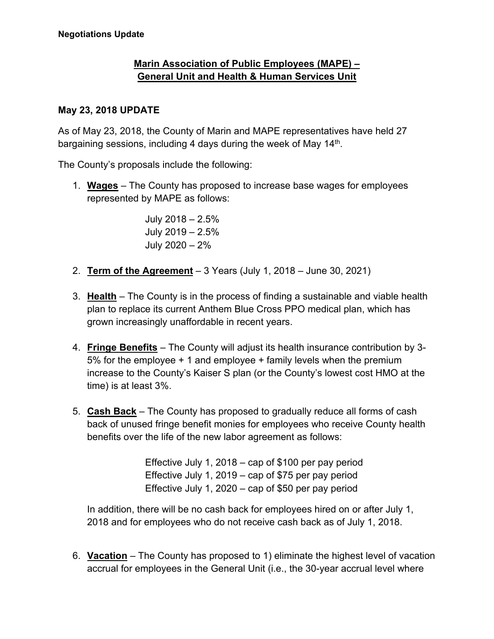## **Marin Association of Public Employees (MAPE) – General Unit and Health & Human Services Unit**

## **May 23, 2018 UPDATE**

As of May 23, 2018, the County of Marin and MAPE representatives have held 27 bargaining sessions, including 4 days during the week of May 14<sup>th</sup>.

The County's proposals include the following:

1. **Wages** – The County has proposed to increase base wages for employees represented by MAPE as follows:

> July 2018 – 2.5% July 2019 – 2.5% July 2020 – 2%

- 2. **Term of the Agreement** 3 Years (July 1, 2018 June 30, 2021)
- 3. **Health** The County is in the process of finding a sustainable and viable health plan to replace its current Anthem Blue Cross PPO medical plan, which has grown increasingly unaffordable in recent years.
- 4. **Fringe Benefits** The County will adjust its health insurance contribution by 3- 5% for the employee + 1 and employee + family levels when the premium increase to the County's Kaiser S plan (or the County's lowest cost HMO at the time) is at least 3%.
- 5. **Cash Back** The County has proposed to gradually reduce all forms of cash back of unused fringe benefit monies for employees who receive County health benefits over the life of the new labor agreement as follows:

Effective July 1, 2018 – cap of \$100 per pay period Effective July 1, 2019 – cap of \$75 per pay period Effective July 1, 2020 – cap of \$50 per pay period

In addition, there will be no cash back for employees hired on or after July 1, 2018 and for employees who do not receive cash back as of July 1, 2018.

6. **Vacation** – The County has proposed to 1) eliminate the highest level of vacation accrual for employees in the General Unit (i.e., the 30-year accrual level where